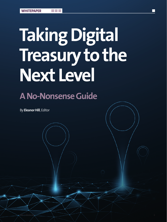# **Taking Digital Treasury to the Next Level**

## **A No-Nonsense Guide**

n n

By **Eleanor Hill**, Editor

**TMI | ISSUE 281 1**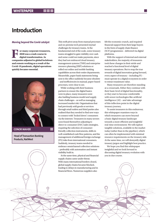### **Introduction**

#### **Moving beyond the Covid catalyst**

**For many corporate treasurers,<br>
2020 was a crash course in<br>
digital transformation. As<br>
companies adjusted to global lockdown 2020 was a crash course in digital transformation. As and remote working as a result of the Covid-19 pandemic, digital operations quickly became essential.** 



**CONOR MAHER**

**Head of Transaction Banking Products, NatWest**

This swift pivot away from manual processes and on-premise tech presented myriad challenges for treasury teams. At the fundamental end of the scale, some treasury teams struggled to gain visibility over cash and some could not make payments, since they had not embraced cloud treasury management systems (TMS) and enterprise resource planning (ERP) solutions or rolled out online and mobile banking capabilities across their entire departments. Meanwhile, paper bank statements being sent to the office suddenly became obsolete – and inefficiencies in manual, paper-based processes, were clear to see.

While working with their business partners to ensure the digital basics were in place, many treasurers were also battling business model and supply chain challenges – as well as managing increased market risk. Organisations that had previously sold goods or services through retail outlets and third parties also realised that they needed to find new ways to connect with 'locked down' consumers via the internet. Treasurers in many sectors soon found themselves adjusting to direct-to-consumer (D2C) sales strategies, requiring the selection of consumerfriendly collection instruments, shifts in well-established cash flow patterns, and the management of additional foreign exchange (FX) risks from international consumers. Suddenly, treasury teams needed to embrace omnichannel collection solutions – preferably with automation and instant visibility built in.

At the same time, physical and financial supply chains came under threat. With many international borders closed, global supply chains became blocked, leading to delays in manufacturing and in financial flows. Numerous suppliers also

felt the economic crunch, and required financial support from their large buyers in the form of supply chain finance (SCF) programmes – delivered via digital platforms.

With the support of internal and external stakeholders, the majority of treasurers took these changes in their stride and reached a functional level of digital treasury operations. But to reap the true rewards of digital innovation going forward, every aspect of treasury – including FX – must operate in a digital ecosystem in order to extract maximum value.

Many treasurers are therefore standing at a crossroads. Either they continue with their basic level of digital functionality, or they start to become comfortable with newer technologies like artificial intelligence (AI) – and take advantage of this inflection point in the digital treasury journey.

To assist treasurers in this endeavour, this whitepaper examines ways in which treasurers can move beyond a basic digital treasury landscape towards a more efficient and insightful real-time environment. We will explore tangible solutions, available in the market today (rather than in the pipeline), which can often be implemented with minimal resource requirements on the treasury side. At the same time, we will demystify digital treasury jargon and highlight best practice.

We hope you find this whitepaper insightful and we look forward to discussing digital treasury evolution with you in due course.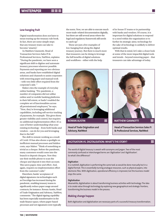#### **Low-hanging fruit**

Digital transformation does not have to mean tearing up the treasury rule book. In fact, there are some simple steps that any treasury team can take to become 'smarter'.

As Matthew Giannotti, Head of Transaction Services Sales FI & Professional Services, NatWest, explains: "During the pandemic, we have seen a significant shift to digitise and automate treasury processes wherever possible. Payments and reporting are two obvious areas, and banks have established digital solutions and channels to assist corporates with removing paper and manual work – with very little effort required from the corporate's side. "

Maher cites the example of everyday online banking. "Pre-pandemic, a number of companies did not utilise online and/or mobile banking platforms to their full extent, or hadn't enabled the complete set of functionalities across all permissioned employees," he says. "Now, they're leveraging additional capabilities, including self-service tracking of payments, for example. This gives them greater visibility and control, but requires no additional implementation effort. It's a case of better understanding what your existing technology – from both banks and vendors – can do for you and leveraging that to the full."

The shift to remote working as a result of Covid-19 has also shone a spotlight on inefficient manual processes and hidden costs, says Maher. "Think of something as trivial as a cheque. Before the pandemic, many customers would come into the branch to deposit cheques. Now they use their mobile phone to scan the cheque and deposit it into their account. This saves paper, time and effort. And, again, requires no implementation effort from the customer's side."

Elsewhere, banks' acceptance of digital signatures via technologies such as DocuSign has increased during the pandemic, enabling treasury teams to significantly reduce paper usage around contracts, for instance. Rowan Austin, Head of Trade Origination and Advisory, NatWest, comments: "The digital signing capability has been especially transformative in the trade finance space, where paper-based processes and wet signatures were typically

the norm. Now, we are able to execute much more trade-related documentation digitally, but there are still several areas where the legal and regulatory framework still needs to catch up."

These are just a few examples of low-hanging fruit along the digital treasury journey. But there is much more that treasurers can be doing to leverage the full benefits of digital solutions and workflows – either with the help

of in-house IT teams or in partnership with banks and vendors. Of course, it is important for digital solutions to respond to a need within the organisation or to further its strategic aims; technology for the sake of technology is unlikely to deliver optimal results.

With that in mind, let's take a closer look at some of the more impactful digital tools and trends – beyond removing paper – that treasurers can take advantage of today.



**Head of Trade Origination and Advisory, NatWest**



**MATTHEW GIANNOTTI**

**Head of Transaction Services Sales FI & Professional Services, NatWest**

#### **DIGITISATION VS. DIGITALISATION: WHAT'S THE STORY?**

The world of digital treasury is awash with acronyms and jargon. Two of the most commonly confused or interchanged terms are 'digitisation' and 'digitilisation'. So what's the difference?

#### **Digitisation**

In a nutshell, digitisation is performing the same task as would be done manually but in a digital format. This is essentially turning analogue resources, such as physical papers, into electronic files. With digitisation, operational efficiency is improved, but the business model stays the same.

#### **Digitalisation**

Meanwhile, digitalisation is about transforming business activities with technology. The idea is to create value through technology by exploring new geographical and strategic frontiers, transforming the business model in the process.

#### **Making change happen**

Both digitisation and digitalisation are necessary parts of a successful treasury transformation.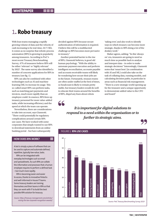## 1**. Robo treasury**

With lean teams managing a rapidly growing volume of data and the velocity of cash increasing to be real-time, 24/7/365, it comes as no surprise that robotic process automation (RPA) is growing in popularity among treasurers. According to PwC's most recent Treasury Benchmarking Survey, 47% of treasurers believe RPA will be either 'relevant' or 'highly relevant' by 2022<sup>1</sup>. The same survey also identified a number of concrete applications for RPA in treasury (see fig. 1).

RPA can also be combined with other technologies such as AI and machine learning (ML) to increase its usage. This so-called smart RPA can perform tasks, such as matching part payments and invoices, much more rapidly than an employee could. In essence, RPA frees up treasury personnel for more value-added tasks, while increasing efficiency and the speed at which the team can operate.

Nevertheless, there are considerations to take into account, says Giannotti. "There could potentially be regulatory complications around certain RPA use cases. We have worked with some corporates that simply wanted to use RPA to download statements from an online banking portal – but have subsequently

#### **HOW DOES RPA WORK?**

A bot is simply a piece of software that can be used to capture and automate defined, repetitive, typically low-value, tasks.

RPA can be integrated with everyday technologies such as email and spreadsheets. As such RPA can collate the information and processes that a human employee requires to perform a defined task – but much more rapidly.

RPA is becoming easier and easier to access, thanks to innovative fintechs and well-informed in-house IT teams. Some treasury leaders are training themselves and their teams in RPA so that they can work with IT to build the best possible RPA solution for treasury.

*Source: https://treasury-management.com/articles/ raising-the-bar-corporate-recognition-awards/*

decided against RPA because secure authentication of information is required. I believe this will be a multifaceted challenge as RPA becomes more pervasive in treasury."

Another potential barrier to the rise of RPA, Giannotti believes, is good old human psychology. "With the ability to automate payment execution and perform intelligent reconciliation, accounts payable and accounts receivable teams will likely be wondering how secure their jobs are in the future. Fortunately, treasury teams are often under-staffed at the best of times, so headcount is likely to remain pretty stable, but treasury leaders would do well to educate their teams around the benefits of RPA, dispel any fears about robots

66

'taking over', and also work to identify ways in which treasury can become more strategic, thanks to RPA doing a lot of the donkey work."

Maher agrees, adding: "In this 'always on' era, treasurers are going to need as much time as possible back to analyse and interpret data – in order to make strategic decisions." Interestingly, Giannotti notes that 'smart bots' (in combination with AI and ML) could also take on the task of collating data, running models, and calculating decision paths, in particular in areas such as financial risk management. "There is a new strategic world opening up for the treasurer and a unique opportunity to demonstrate added value to the CFO and board."

*It is important for digital solutions to respond to a need within the organisation or to further its strategic aims.*

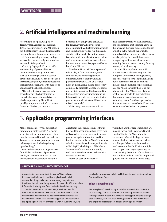## 2**. Artificial intelligence and machine learning**

According to an April 2021 poll by Treasury Management International, 16% of treasurers cite AI and ML as their top digital priority. One of the reasons for this popularity is the potential to increase cash flow forecasting accuracy and speed – a task that has received great attention as a result of the pandemic.

Correctly deployed, AI can provide early warning of potential issues that might otherwise go unnoticed, such as increasingly erratic customer payment behaviours. AI can also be used to stress test liquidity, enabling treasurers to run multiple scenarios with numerous variables at the click of a button.

"Complex decision-making, such as working out which instrument to use to hedge a non-standard risk, can also be supported by AI's ability to quickly compute scenarios," comments Giannotti. "Indeed, as treasury

becomes increasingly data-driven, AI for data analytics will only become more important. With electronic payments and collections, as well as real-time cash visibility at the touch of a button, treasury is dealing with more data than ever before and at a greater speed than ever before – humans alone cannot keep pace with that but AI and ML can."

Elsewhere, AI and ML have a powerful role to play in fraud prevention, with some banks now offering payment outlier solutions to identify unusual payment behaviours. And on a related note, an international airline has recently completed a project to identify erroneous payments to suppliers. This has saved the finance team precious time by reducing false positives, while correctly identifying payment anomalies that could have been missed manually<sup>2</sup>.

While many treasury teams will not

have the resources to work on internal AI projects, fintechs are becoming active in this area and there are numerous offerings available in the market, in particular around cash flow forecasting. Many banks are also joining forces with fintechs to bring AI capabilities to their customers, meaning that the barriers to entry for using treasury AI are lowering.

As with RPA, regulation in the AI and ML space is also evolving, with the European Commission having recently issued a 'Proposal for a Regulation laying down harmonised rules on artificial intelligence'. Some finance professionals also see AI as a threat to their jobs, but Maher notes that "AI is in fact likely to enable treasurers to do more strategic thinking and to deploy an asset that technology doesn't yet have: gut instinct. Someone also has to teach the AI, so there isn't too much of a threat at present".

## 3**. Application programming interfaces**

Maher comments: "While application programming interfaces [APIs] might seem like quite a new technology, they have been around for well over a decade. Treasurers are now exploring new ways to leverage them, including through open banking."

One of the most promising use cases for APIs lies in the area of payments. Deployed correctly, APIs can be used to collect from customers in real time,

direct from their bank account without the need for account details or costly fees. APIs can also be used to generate instant payments, again without the need for bank account details. NatWest's innovative solution that delivers these capabilities is called Payit™, which is part of NatWest's 'Bank of APIs' initiative. Importantly, end customers do not need to bank with NatWest to use Payit<sup>™</sup>.

Improved cash and exposure

visibility is another area where APIs are making waves. Nick Pedersen, Global Head of Digital, NatWest Markets, comments: "One of the biggest datarelated challenges that treasurers have is pulling cash balances from various bank accounts they hold with multiple banks. Open banking is a great way of standardising the output of that data and being able to pull it in one file simply and quickly. Having that data in one place

#### **WHAT ARE APIS AND WHAT CAN THEY DO?**

An application programming interface (API) is a software intermediary that enables multiple applications to talk to one another. They can be used to seamlessly integrate new functionalities into an existing system, for example. APIs also deliver information instantly, and form the basis of real-time treasury.

Despite the technical nature of APIs, there is no need for treasurers to understand the mechanics of them – the prize lies in identifying how APIs can help to increase treasury efficiency. In addition to the use cases explained opposite, some corporates are replacing host-to-host connections with APIs. Elsewhere, APIs are also being leveraged to help tackle fraud, through services such as Confirmation of Payee.

#### **What is open banking?**

Maher explains: "Open banking is an infrastructure that facilitates the secure sharing of financial information as well as payment instructions – through the use of open APIs. There are clear opportunities to leverage the digital ecosystem that open banking creates to solve real business challenges for corporate treasurers and to leverage innovation."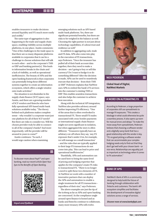enables treasurers to make decisions around liquidity and FX much more easily and swiftly."

The same type of aggregation is also happening in the trade and supply chain space, enabling visibility across multiple platforms, in one place. Austin comments: "One of the challenges in the trade space is that there are so many disparate platforms available to corporates that it can be a challenge to choose solutions that will talk to each other – and to the corporate's TMS or ERP and banking partner(s). This leads to information breaks in the chain and a lack of visibility, as well as operational inefficiencies. The beauty of APIs and the open banking framework is that corporates can potentially bring these different systems together to create an information ecosystem, which offers a single window onto trade activities."

The situation is not dissimilar in the supply chain finance (SCF) space, says Austin, and there are a growing number of SCF vendors and fintechs who have fully operational API-based multi-bank solutions available today. "The theory behind such platforms makes complete sense – why wouldn't a corporate want just one platform for all of their SCF needs? But there are risks to consider too. Will the chosen provider truly be able to connect to all of the company's banks? And more importantly, will the provider still be around in years to come?"

Austin continues: "As such, I would urge caution when examining

To discover more about Payit™ and open banking, read our recent article *Open Your Eyes to the Benefits of Open Banking*.



*tinyurl.com/5jxdbas4*

emerging solutions such as API-based multi-bank platforms. Yes, there are significant potential benefits, but there are risks to be weighed in the balance as well. Choosing the right partner is not just about technology capabilities, it's about trust and resilience as well."

In addition to aggregating cash, trade and FX data, APIs also come into play in the execution of FX transactions, says Pedersen. "Once the treasurer has pulled all of their bank account data together, then they need to make a decision – am I going to buy or sell this currency? Do I want to hedge it or do something different? After the decision is made, APIs can be used to seamlessly execute that decision – from their TMS or ERP." Pedersen explains that NatWest uses APIs to embed the bank's FX services into the customer's existing TMS or ERP. This enables seamless transactions and also helps the customer to achieve best execution.

Along with the technical API integration, NatWest also provides advisory around further improving FX efficiency. "One of the areas that is often overlooked is transactional FX. These small FX trades associated with cross-border payments or international supply chain finance might not seem significant in isolation, but when aggregated the story is often different. "Treasurers typically have an arbitrary cut-off where they say, 'any FX exposure that's under £1m, for example, we will manage as a small transaction' – and the rules that are typically applied to their large FX transactions do not come into play. This can lead to price and operational inefficiencies."

Thankfully, APIs and automation can be used here to bring the same level of pricing and hedging expertise that applies for the company's main FX risks to transactional FX. "There is no longer a need to split these two elements of FX. At NatWest we work with a number of innovative partners that can deploy the APIs and automation to enable a single treatment for all FX transactions – regardless of their size," says Pedersen.

The above examples are just the tip of the iceberg as far as APIs and open banking are concerned. As the compliance angle around open finance is honed and as banks and fintechs continue to collaborate, many more treasury APIs will evolve.



**Global Head of Digital, NatWest Markets**

#### **A WORD ON AUTOMATING FX**

According to Pedersen, a large proportion of corporates still use spreadsheets to manage FX exposures. "This creates a blockage in what could otherwise be quite a seamless process. It also opens up room for manual errors and delays." To make the move away from spreadsheets, Pedersen believes that choosing a software vendor and a digitally savvy bank that has a good relationship with the vendor is key. "It's no good picking a software vendor that can accommodate your complex hedging needs only to find out that they don't gel well with your chosen bank – or vice versa. Relationships are arguably just as important as technology when it comes to FX automation."

#### **BANK OF APIS**

NatWest's Bank of APIs is a community designed to help build the future of banking through collaboration with fintechs and customers. The bank's API ecosystem simplifies and facilitates the development of innovative digital solutions across a range of services.

*Discover more at www.bankofapis.com*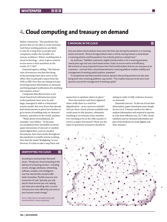## 4**. Cloud computing and treasury on demand**

Maher comments: "The pandemic has proven that we are able to work remotely. And these working patterns are likely to stay for a long time as people and companies realise the benefits of a remote workforce. What's enabling that is cloud technology – since it gives systems access more or less anywhere in the world, 24/7/365."

Giannotti agrees, adding: "The historic view of treasurers was that first thing in the morning when they arrive in the office, they would pull a report from the TMS or ERP. Now they are sitting at home, receiving instant information on demand, and being pinged notifications for anything that requires action."

Companies that did not have a not cloud-based tech infrastructure prior to the pandemic have now, by and large, managed to shift to a functional remote model. But even those that already had cloud systems in place have further to go in terms of enabling truly on-demand treasury, anywhere in the world, anytime.

"Think about reconciliations, for example," says Maher. "In the past, reconciliations have inevitably involved paper documents of one sort or another. Quick digital fixes, such as emailed documents, have been made throughout the pandemic to enable remote working. Now that the initial 'firefighting' is over, however, it's time to take a step back and

#### **DEMYSTIFYING THE CLOUD**

According to cloud provider Microsoft Azure: "Simply put, cloud computing is the delivery of computing services – including servers, storage, databases, networking, software, analytics and intelligence – over the internet (the cloud) to offer faster innovation, flexible resources and economies of scale. Typically, you only pay for cloud services you use, helping you lower your operating costs, run your infrastructure more efficiently and scale as your business needs change."

*Source: https://azure.microsoft.com/en-gb/ overview/what-is-cloud-computing/*

#### **E-INVOICING IN THE CLOUD**

One area where cloud solutions have come into their own during the pandemic is e-invoicing. Austin comments: "Almost all organisations have or will be moving towards a cloud-based e-invoicing solution and the pandemic has certainly acted as a catalyst here."

He continues: "NatWest undertook a digital transformation in its e-invoicing processes several years ago and uses cloud-based vendor, Taulia, to ensure end-to-end efficiency. We've learnt so many important lessons from that transformation that we can now pass on to customers – not least that a cloud-based electronic-invoicing platform enables visibility and management of working capital anytime, anywhere."

To complement and help monetise invoices, dynamic discounting solutions are also now being built into e-invoicing platforms, says Austin. "This enables treasurers to be even more dynamic around the management of working capital."

assess how to optimise what's in place."

Have documents only been digitised when really there is a need for digitalisation – as in a process rethink? And are there cloud systems available that could assist in this journey, ultimately resulting in no treasury team member ever needing to be in the office purely to receive a paper document? These are the types of questions treasurers should be

asking in order to fully embrace treasury on demand.

Giannotti concurs: "In the era of real-time information, paper-based processes simply do not cut it. Treasury needs to be able to analyse information and respond to queries in a far more efficient way, 24/7/365. Cloud solutions and on-demand information are part of the bedrock of a truly digital, realtime, treasury."

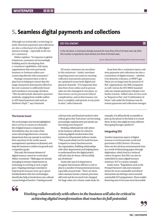## 5**. Seamless digital payments and collections**

Although not technically a technology in itself, electronic payments and collections are also a critical part of a solid digital treasury strategy – especially in the era of e-commerce.

Maher explains: "In response to global lockdowns, customers are increasingly building and/or developing their e-commerce capabilities, with many organisations that were previously business-to-business sellers now connecting directly with consumers."

Strategic treasurers have a role to play here in helping to ensure that the range of payment instruments offered to the end-customer is sufficiently broad and seamless to encourage checkout. "This should include alternative payment methods, ranging from mobile wallets to API-based payment tools such as NatWest's Payit™," says Giannotti.

#### **DID YOU KNOW?**

In the UK alone, e-commerce already accounts for more than 25% of all retail sales. By 2024, this number is expected to reach almost one-third of all retail sales.

*Source: https://osome.com/uk/blog/2021-ecommerce-trends/*

Of course, treasurers are not alone in this endeavour – banks' merchant acquiring teams can assist in ensuring collection instruments and processes are optimised across both digital and physical channels. "It is important that data flows from online and in-person sales are also managed in one place, so that returns can be processed without complications, and so that treasury can have a complete cash picture at any point in time," adds Giannotti.

Away from the e-commerce space, realtime payments and collections are also a cornerstone of digital treasury – whether it be domestic schemes, or SWIFT gpi. These are no longer just the preserve of B2C organisations, but B2B companies as well. And as the ISO 20022 standard rolls out, instant payments will gain even further traction. Added value services such as 'Request to Pay' and 'Confirmation of Payee' only make the business case for instant payments and collections stronger.

#### **The human touch**

The technologies and trends highlighted above are by no means an exhaustive list of digital treasury components. Nevertheless, they are some of the most critical ingredients for a treasury department that can operate in real time, from anywhere in the world, answer management's questions on demand, and help the business to achieve its growth and competition goals.

That said, the human element of digital treasury cannot be overlooked. Maher comments: "Skills gaps are already emerging in treasury departments as technology is evolving at such a rapid pace. Ongoing training is essential to help keep the treasury team up to speed. Familiarisation with new technologies should also help to break down any cultural or psychological barriers. Training around

cybersecurity and fraud prevention is also critical, given that 'bad actors' are becoming increasingly sophisticated and attacks are becoming more frequent."

Working collaboratively with others in the business will also be critical to achieving digital transformation that reaches its full potential, believes Austin. "This is particularly true for trade because it impacts so many functions across the organisation. Building relationships with other departments and helping them to understand how the digital project will add value for them, will inevitably pay dividends."

Austin also says it is important to recognise that humans still have a role to play in a number of transactional processes, especially around trade. "There are times when manual, human-centred, processes still work and do not need to be changed. For large value, low volume, trade deals, for

example, it is still perfectly acceptable to pick up the phone to the bank or to email them. In fact, this might be more efficient than going through a platform."

#### **Integrating ESG**

Another important aspect of digital treasury is environmental, social and governance (ESG) factors. Of course, there are the obvious environmental wins as a result of eliminating paper through digitisation, which lead to a reduced carbon footprint. But ESG can also be embedded in many digital treasury solutions. SCF is a prime example.

Austin notes: "Regulations such as the Prompt Payment Code and consumer desires for more sustainable and ethical interactions are driving a move towards sustainable SCF programmes. These enable financing rates to become more favourable



*Working collaboratively with others in the business will also be critical to achieving digital transformation that reaches its full potential.*